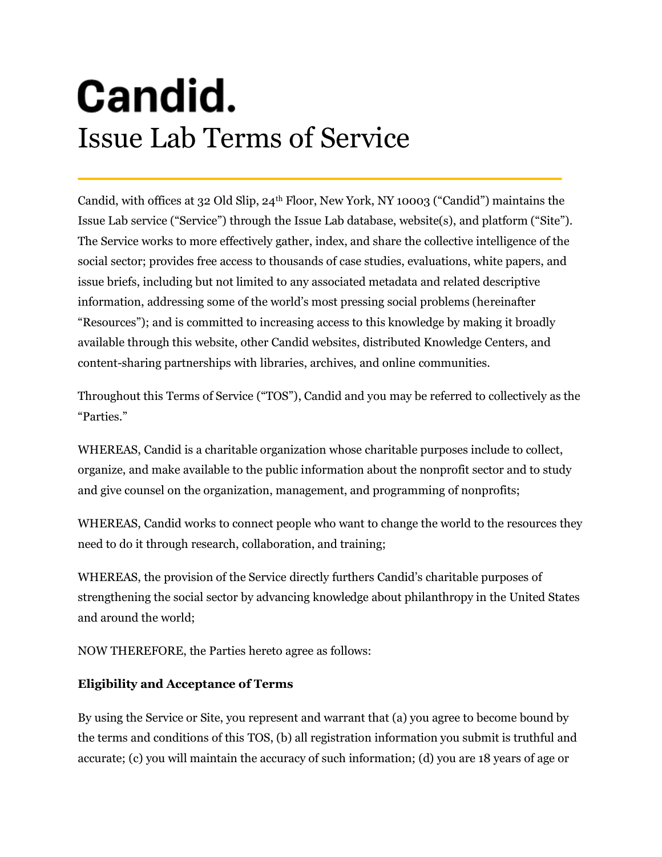# **Candid.** Issue Lab Terms of Service

Candid, with offices at 32 Old Slip, 24<sup>th</sup> Floor, New York, NY 10003 ("Candid") maintains the Issue Lab service ("Service") through the Issue Lab database, website(s), and platform ("Site"). The Service works to more effectively gather, index, and share the collective intelligence of the social sector; provides free access to thousands of case studies, evaluations, white papers, and issue briefs, including but not limited to any associated metadata and related descriptive information, addressing some of the world's most pressing social problems (hereinafter "Resources"); and is committed to increasing access to this knowledge by making it broadly available through this website, other Candid websites, distributed Knowledge Centers, and content-sharing partnerships with libraries, archives, and online communities.

Throughout this Terms of Service ("TOS"), Candid and you may be referred to collectively as the "Parties."

WHEREAS, Candid is a charitable organization whose charitable purposes include to collect, organize, and make available to the public information about the nonprofit sector and to study and give counsel on the organization, management, and programming of nonprofits;

WHEREAS, Candid works to connect people who want to change the world to the resources they need to do it through research, collaboration, and training;

WHEREAS, the provision of the Service directly furthers Candid's charitable purposes of strengthening the social sector by advancing knowledge about philanthropy in the United States and around the world;

NOW THEREFORE, the Parties hereto agree as follows:

## **Eligibility and Acceptance of Terms**

By using the Service or Site, you represent and warrant that (a) you agree to become bound by the terms and conditions of this TOS, (b) all registration information you submit is truthful and accurate; (c) you will maintain the accuracy of such information; (d) you are 18 years of age or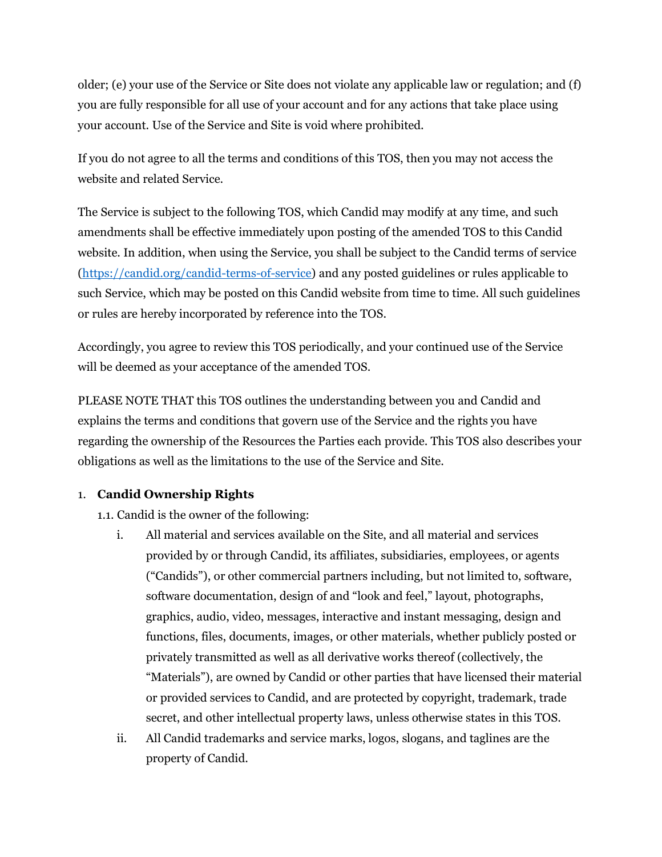older; (e) your use of the Service or Site does not violate any applicable law or regulation; and (f) you are fully responsible for all use of your account and for any actions that take place using your account. Use of the Service and Site is void where prohibited.

If you do not agree to all the terms and conditions of this TOS, then you may not access the website and related Service.

The Service is subject to the following TOS, which Candid may modify at any time, and such amendments shall be effective immediately upon posting of the amended TOS to this Candid website. In addition, when using the Service, you shall be subject to the Candid terms of service [\(https://candid.org/candid-terms-of-service\)](https://candid.org/candid-terms-of-service) and any posted guidelines or rules applicable to such Service, which may be posted on this Candid website from time to time. All such guidelines or rules are hereby incorporated by reference into the TOS.

Accordingly, you agree to review this TOS periodically, and your continued use of the Service will be deemed as your acceptance of the amended TOS.

PLEASE NOTE THAT this TOS outlines the understanding between you and Candid and explains the terms and conditions that govern use of the Service and the rights you have regarding the ownership of the Resources the Parties each provide. This TOS also describes your obligations as well as the limitations to the use of the Service and Site.

## 1. **Candid Ownership Rights**

1.1. Candid is the owner of the following:

- i. All material and services available on the Site, and all material and services provided by or through Candid, its affiliates, subsidiaries, employees, or agents ("Candids"), or other commercial partners including, but not limited to, software, software documentation, design of and "look and feel," layout, photographs, graphics, audio, video, messages, interactive and instant messaging, design and functions, files, documents, images, or other materials, whether publicly posted or privately transmitted as well as all derivative works thereof (collectively, the "Materials"), are owned by Candid or other parties that have licensed their material or provided services to Candid, and are protected by copyright, trademark, trade secret, and other intellectual property laws, unless otherwise states in this TOS.
- ii. All Candid trademarks and service marks, logos, slogans, and taglines are the property of Candid.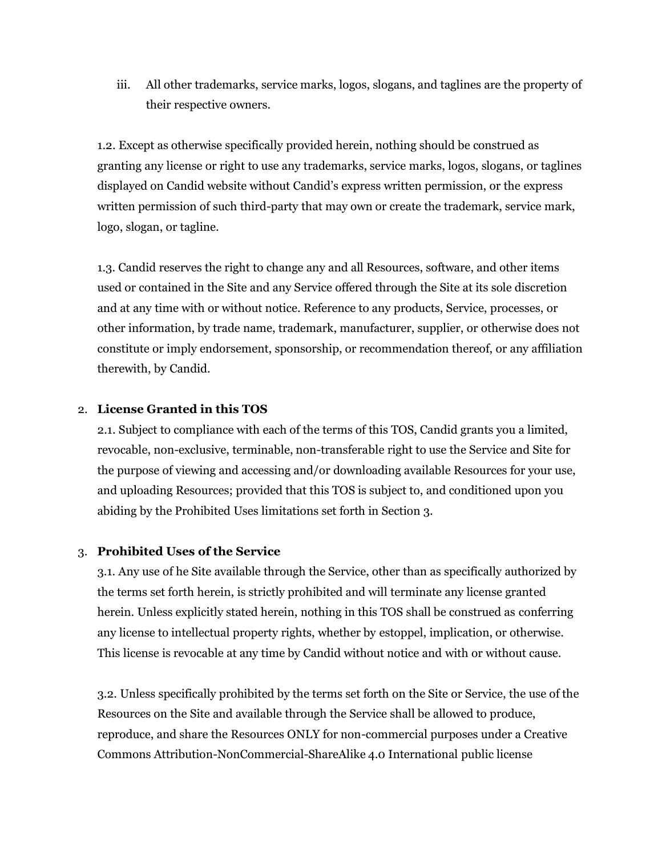iii. All other trademarks, service marks, logos, slogans, and taglines are the property of their respective owners.

1.2. Except as otherwise specifically provided herein, nothing should be construed as granting any license or right to use any trademarks, service marks, logos, slogans, or taglines displayed on Candid website without Candid's express written permission, or the express written permission of such third-party that may own or create the trademark, service mark, logo, slogan, or tagline.

1.3. Candid reserves the right to change any and all Resources, software, and other items used or contained in the Site and any Service offered through the Site at its sole discretion and at any time with or without notice. Reference to any products, Service, processes, or other information, by trade name, trademark, manufacturer, supplier, or otherwise does not constitute or imply endorsement, sponsorship, or recommendation thereof, or any affiliation therewith, by Candid.

#### 2. **License Granted in this TOS**

2.1. Subject to compliance with each of the terms of this TOS, Candid grants you a limited, revocable, non-exclusive, terminable, non-transferable right to use the Service and Site for the purpose of viewing and accessing and/or downloading available Resources for your use, and uploading Resources; provided that this TOS is subject to, and conditioned upon you abiding by the Prohibited Uses limitations set forth in Section 3.

#### 3. **Prohibited Uses of the Service**

3.1. Any use of he Site available through the Service, other than as specifically authorized by the terms set forth herein, is strictly prohibited and will terminate any license granted herein. Unless explicitly stated herein, nothing in this TOS shall be construed as conferring any license to intellectual property rights, whether by estoppel, implication, or otherwise. This license is revocable at any time by Candid without notice and with or without cause.

3.2. Unless specifically prohibited by the terms set forth on the Site or Service, the use of the Resources on the Site and available through the Service shall be allowed to produce, reproduce, and share the Resources ONLY for non-commercial purposes under a Creative Commons Attribution-NonCommercial-ShareAlike 4.0 International public license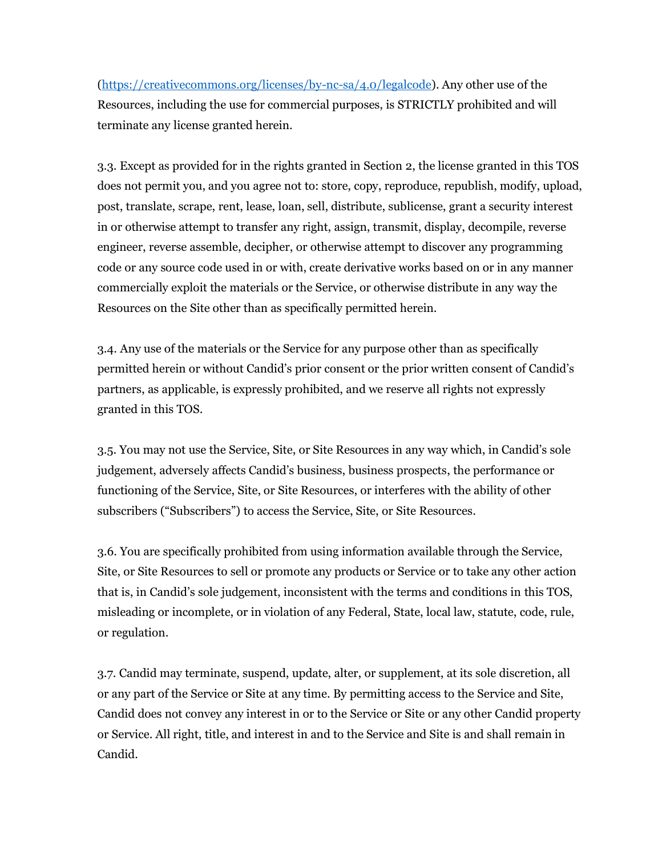[\(https://creativecommons.org/licenses/by-nc-sa/4.0/legalcode\)](https://creativecommons.org/licenses/by-nc-sa/4.0/legalcode). Any other use of the Resources, including the use for commercial purposes, is STRICTLY prohibited and will terminate any license granted herein.

3.3. Except as provided for in the rights granted in Section 2, the license granted in this TOS does not permit you, and you agree not to: store, copy, reproduce, republish, modify, upload, post, translate, scrape, rent, lease, loan, sell, distribute, sublicense, grant a security interest in or otherwise attempt to transfer any right, assign, transmit, display, decompile, reverse engineer, reverse assemble, decipher, or otherwise attempt to discover any programming code or any source code used in or with, create derivative works based on or in any manner commercially exploit the materials or the Service, or otherwise distribute in any way the Resources on the Site other than as specifically permitted herein.

3.4. Any use of the materials or the Service for any purpose other than as specifically permitted herein or without Candid's prior consent or the prior written consent of Candid's partners, as applicable, is expressly prohibited, and we reserve all rights not expressly granted in this TOS.

3.5. You may not use the Service, Site, or Site Resources in any way which, in Candid's sole judgement, adversely affects Candid's business, business prospects, the performance or functioning of the Service, Site, or Site Resources, or interferes with the ability of other subscribers ("Subscribers") to access the Service, Site, or Site Resources.

3.6. You are specifically prohibited from using information available through the Service, Site, or Site Resources to sell or promote any products or Service or to take any other action that is, in Candid's sole judgement, inconsistent with the terms and conditions in this TOS, misleading or incomplete, or in violation of any Federal, State, local law, statute, code, rule, or regulation.

3.7. Candid may terminate, suspend, update, alter, or supplement, at its sole discretion, all or any part of the Service or Site at any time. By permitting access to the Service and Site, Candid does not convey any interest in or to the Service or Site or any other Candid property or Service. All right, title, and interest in and to the Service and Site is and shall remain in Candid.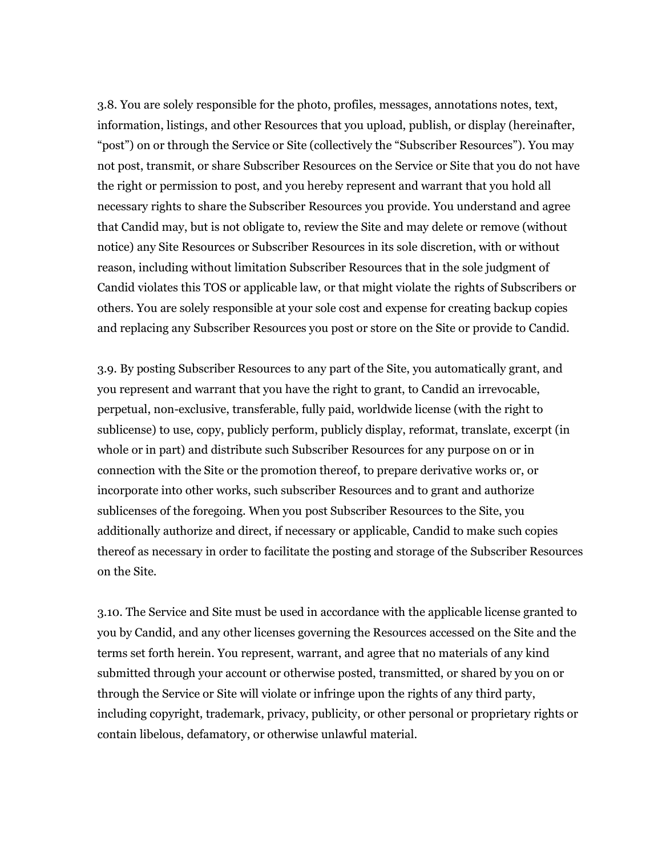3.8. You are solely responsible for the photo, profiles, messages, annotations notes, text, information, listings, and other Resources that you upload, publish, or display (hereinafter, "post") on or through the Service or Site (collectively the "Subscriber Resources"). You may not post, transmit, or share Subscriber Resources on the Service or Site that you do not have the right or permission to post, and you hereby represent and warrant that you hold all necessary rights to share the Subscriber Resources you provide. You understand and agree that Candid may, but is not obligate to, review the Site and may delete or remove (without notice) any Site Resources or Subscriber Resources in its sole discretion, with or without reason, including without limitation Subscriber Resources that in the sole judgment of Candid violates this TOS or applicable law, or that might violate the rights of Subscribers or others. You are solely responsible at your sole cost and expense for creating backup copies and replacing any Subscriber Resources you post or store on the Site or provide to Candid.

3.9. By posting Subscriber Resources to any part of the Site, you automatically grant, and you represent and warrant that you have the right to grant, to Candid an irrevocable, perpetual, non-exclusive, transferable, fully paid, worldwide license (with the right to sublicense) to use, copy, publicly perform, publicly display, reformat, translate, excerpt (in whole or in part) and distribute such Subscriber Resources for any purpose on or in connection with the Site or the promotion thereof, to prepare derivative works or, or incorporate into other works, such subscriber Resources and to grant and authorize sublicenses of the foregoing. When you post Subscriber Resources to the Site, you additionally authorize and direct, if necessary or applicable, Candid to make such copies thereof as necessary in order to facilitate the posting and storage of the Subscriber Resources on the Site.

3.10. The Service and Site must be used in accordance with the applicable license granted to you by Candid, and any other licenses governing the Resources accessed on the Site and the terms set forth herein. You represent, warrant, and agree that no materials of any kind submitted through your account or otherwise posted, transmitted, or shared by you on or through the Service or Site will violate or infringe upon the rights of any third party, including copyright, trademark, privacy, publicity, or other personal or proprietary rights or contain libelous, defamatory, or otherwise unlawful material.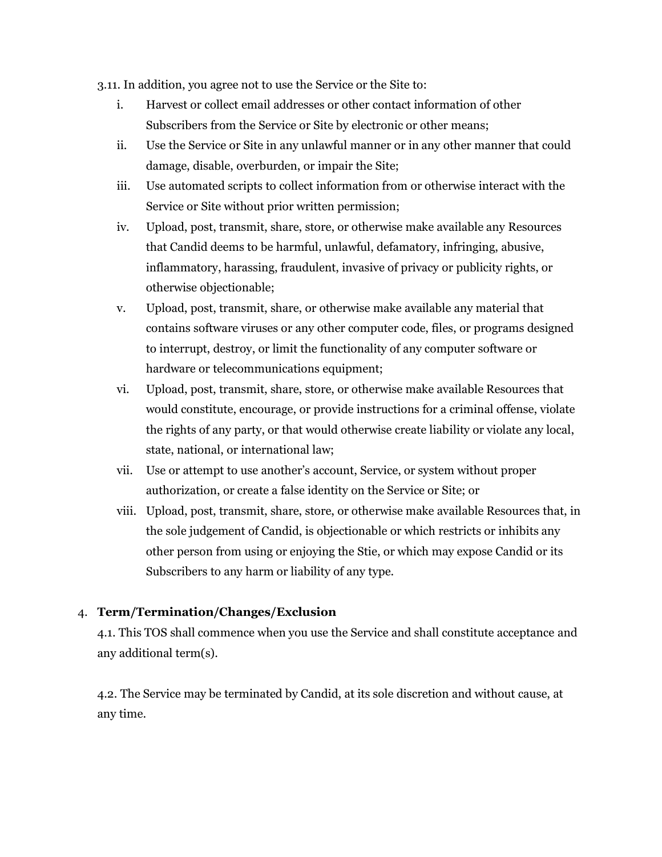3.11. In addition, you agree not to use the Service or the Site to:

- i. Harvest or collect email addresses or other contact information of other Subscribers from the Service or Site by electronic or other means;
- ii. Use the Service or Site in any unlawful manner or in any other manner that could damage, disable, overburden, or impair the Site;
- iii. Use automated scripts to collect information from or otherwise interact with the Service or Site without prior written permission;
- iv. Upload, post, transmit, share, store, or otherwise make available any Resources that Candid deems to be harmful, unlawful, defamatory, infringing, abusive, inflammatory, harassing, fraudulent, invasive of privacy or publicity rights, or otherwise objectionable;
- v. Upload, post, transmit, share, or otherwise make available any material that contains software viruses or any other computer code, files, or programs designed to interrupt, destroy, or limit the functionality of any computer software or hardware or telecommunications equipment;
- vi. Upload, post, transmit, share, store, or otherwise make available Resources that would constitute, encourage, or provide instructions for a criminal offense, violate the rights of any party, or that would otherwise create liability or violate any local, state, national, or international law;
- vii. Use or attempt to use another's account, Service, or system without proper authorization, or create a false identity on the Service or Site; or
- viii. Upload, post, transmit, share, store, or otherwise make available Resources that, in the sole judgement of Candid, is objectionable or which restricts or inhibits any other person from using or enjoying the Stie, or which may expose Candid or its Subscribers to any harm or liability of any type.

## 4. **Term/Termination/Changes/Exclusion**

4.1. This TOS shall commence when you use the Service and shall constitute acceptance and any additional term(s).

4.2. The Service may be terminated by Candid, at its sole discretion and without cause, at any time.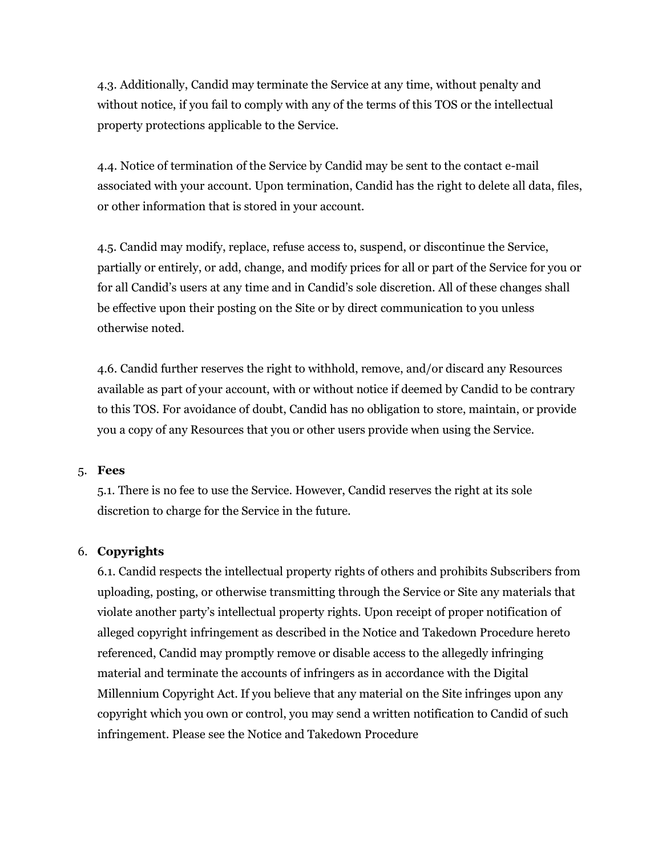4.3. Additionally, Candid may terminate the Service at any time, without penalty and without notice, if you fail to comply with any of the terms of this TOS or the intellectual property protections applicable to the Service.

4.4. Notice of termination of the Service by Candid may be sent to the contact e-mail associated with your account. Upon termination, Candid has the right to delete all data, files, or other information that is stored in your account.

4.5. Candid may modify, replace, refuse access to, suspend, or discontinue the Service, partially or entirely, or add, change, and modify prices for all or part of the Service for you or for all Candid's users at any time and in Candid's sole discretion. All of these changes shall be effective upon their posting on the Site or by direct communication to you unless otherwise noted.

4.6. Candid further reserves the right to withhold, remove, and/or discard any Resources available as part of your account, with or without notice if deemed by Candid to be contrary to this TOS. For avoidance of doubt, Candid has no obligation to store, maintain, or provide you a copy of any Resources that you or other users provide when using the Service.

### 5. **Fees**

5.1. There is no fee to use the Service. However, Candid reserves the right at its sole discretion to charge for the Service in the future.

### 6. **Copyrights**

6.1. Candid respects the intellectual property rights of others and prohibits Subscribers from uploading, posting, or otherwise transmitting through the Service or Site any materials that violate another party's intellectual property rights. Upon receipt of proper notification of alleged copyright infringement as described in the Notice and Takedown Procedure hereto referenced, Candid may promptly remove or disable access to the allegedly infringing material and terminate the accounts of infringers as in accordance with the Digital Millennium Copyright Act. If you believe that any material on the Site infringes upon any copyright which you own or control, you may send a written notification to Candid of such infringement. Please see the Notice and Takedown Procedure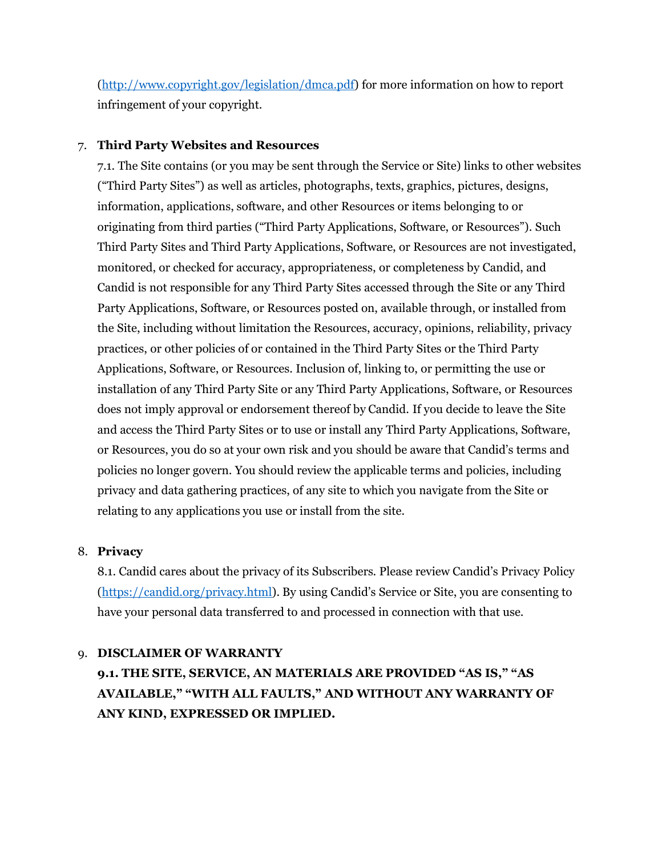[\(http://www.copyright.gov/legislation/dmca.pdf\)](http://www.copyright.gov/legislation/dmca.pdf) for more information on how to report infringement of your copyright.

## 7. **Third Party Websites and Resources**

7.1. The Site contains (or you may be sent through the Service or Site) links to other websites ("Third Party Sites") as well as articles, photographs, texts, graphics, pictures, designs, information, applications, software, and other Resources or items belonging to or originating from third parties ("Third Party Applications, Software, or Resources"). Such Third Party Sites and Third Party Applications, Software, or Resources are not investigated, monitored, or checked for accuracy, appropriateness, or completeness by Candid, and Candid is not responsible for any Third Party Sites accessed through the Site or any Third Party Applications, Software, or Resources posted on, available through, or installed from the Site, including without limitation the Resources, accuracy, opinions, reliability, privacy practices, or other policies of or contained in the Third Party Sites or the Third Party Applications, Software, or Resources. Inclusion of, linking to, or permitting the use or installation of any Third Party Site or any Third Party Applications, Software, or Resources does not imply approval or endorsement thereof by Candid. If you decide to leave the Site and access the Third Party Sites or to use or install any Third Party Applications, Software, or Resources, you do so at your own risk and you should be aware that Candid's terms and policies no longer govern. You should review the applicable terms and policies, including privacy and data gathering practices, of any site to which you navigate from the Site or relating to any applications you use or install from the site.

### 8. **Privacy**

8.1. Candid cares about the privacy of its Subscribers. Please review Candid's Privacy Policy [\(https://candid.org/privacy.html](https://candid.org/privacy.html)). By using Candid's Service or Site, you are consenting to have your personal data transferred to and processed in connection with that use.

## 9. **DISCLAIMER OF WARRANTY**

**9.1. THE SITE, SERVICE, AN MATERIALS ARE PROVIDED "AS IS," "AS AVAILABLE," "WITH ALL FAULTS," AND WITHOUT ANY WARRANTY OF ANY KIND, EXPRESSED OR IMPLIED.**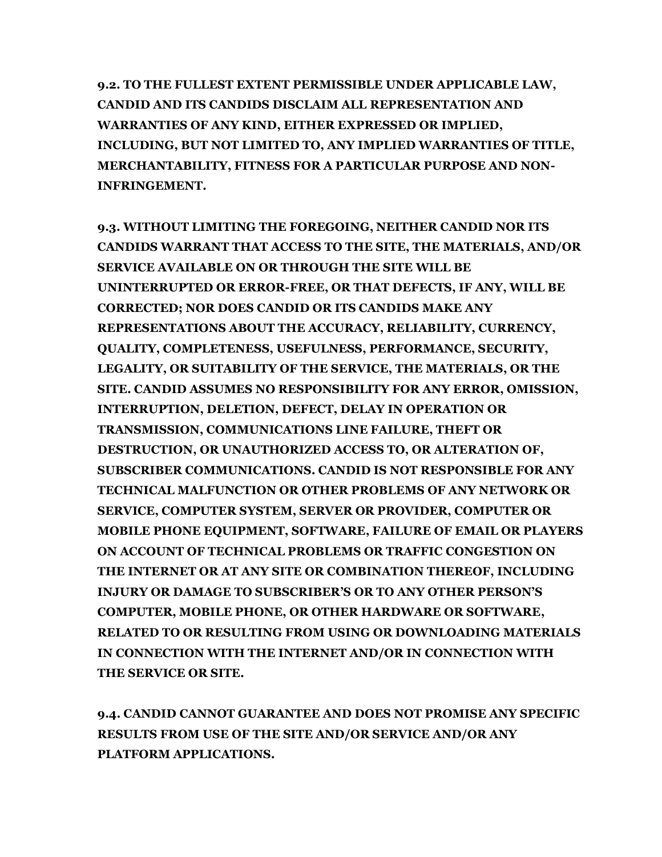**9.2. TO THE FULLEST EXTENT PERMISSIBLE UNDER APPLICABLE LAW, CANDID AND ITS CANDIDS DISCLAIM ALL REPRESENTATION AND WARRANTIES OF ANY KIND, EITHER EXPRESSED OR IMPLIED, INCLUDING, BUT NOT LIMITED TO, ANY IMPLIED WARRANTIES OF TITLE, MERCHANTABILITY, FITNESS FOR A PARTICULAR PURPOSE AND NON-INFRINGEMENT.**

**9.3. WITHOUT LIMITING THE FOREGOING, NEITHER CANDID NOR ITS CANDIDS WARRANT THAT ACCESS TO THE SITE, THE MATERIALS, AND/OR SERVICE AVAILABLE ON OR THROUGH THE SITE WILL BE UNINTERRUPTED OR ERROR-FREE, OR THAT DEFECTS, IF ANY, WILL BE CORRECTED; NOR DOES CANDID OR ITS CANDIDS MAKE ANY REPRESENTATIONS ABOUT THE ACCURACY, RELIABILITY, CURRENCY, QUALITY, COMPLETENESS, USEFULNESS, PERFORMANCE, SECURITY, LEGALITY, OR SUITABILITY OF THE SERVICE, THE MATERIALS, OR THE SITE. CANDID ASSUMES NO RESPONSIBILITY FOR ANY ERROR, OMISSION, INTERRUPTION, DELETION, DEFECT, DELAY IN OPERATION OR TRANSMISSION, COMMUNICATIONS LINE FAILURE, THEFT OR DESTRUCTION, OR UNAUTHORIZED ACCESS TO, OR ALTERATION OF, SUBSCRIBER COMMUNICATIONS. CANDID IS NOT RESPONSIBLE FOR ANY TECHNICAL MALFUNCTION OR OTHER PROBLEMS OF ANY NETWORK OR SERVICE, COMPUTER SYSTEM, SERVER OR PROVIDER, COMPUTER OR MOBILE PHONE EQUIPMENT, SOFTWARE, FAILURE OF EMAIL OR PLAYERS ON ACCOUNT OF TECHNICAL PROBLEMS OR TRAFFIC CONGESTION ON THE INTERNET OR AT ANY SITE OR COMBINATION THEREOF, INCLUDING INJURY OR DAMAGE TO SUBSCRIBER'S OR TO ANY OTHER PERSON'S COMPUTER, MOBILE PHONE, OR OTHER HARDWARE OR SOFTWARE, RELATED TO OR RESULTING FROM USING OR DOWNLOADING MATERIALS IN CONNECTION WITH THE INTERNET AND/OR IN CONNECTION WITH THE SERVICE OR SITE.**

**9.4. CANDID CANNOT GUARANTEE AND DOES NOT PROMISE ANY SPECIFIC RESULTS FROM USE OF THE SITE AND/OR SERVICE AND/OR ANY PLATFORM APPLICATIONS.**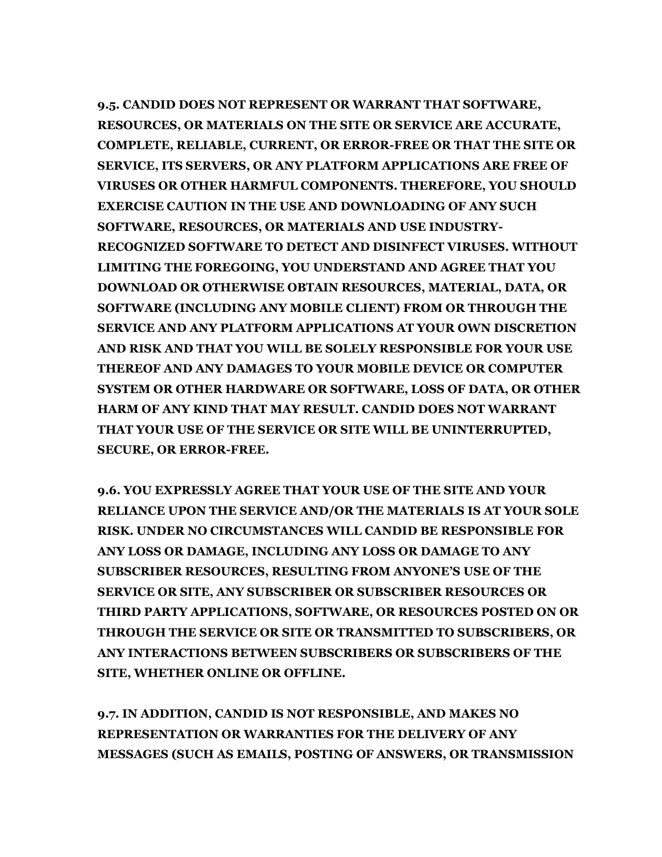**9.5. CANDID DOES NOT REPRESENT OR WARRANT THAT SOFTWARE, RESOURCES, OR MATERIALS ON THE SITE OR SERVICE ARE ACCURATE, COMPLETE, RELIABLE, CURRENT, OR ERROR-FREE OR THAT THE SITE OR SERVICE, ITS SERVERS, OR ANY PLATFORM APPLICATIONS ARE FREE OF VIRUSES OR OTHER HARMFUL COMPONENTS. THEREFORE, YOU SHOULD EXERCISE CAUTION IN THE USE AND DOWNLOADING OF ANY SUCH SOFTWARE, RESOURCES, OR MATERIALS AND USE INDUSTRY-RECOGNIZED SOFTWARE TO DETECT AND DISINFECT VIRUSES. WITHOUT LIMITING THE FOREGOING, YOU UNDERSTAND AND AGREE THAT YOU DOWNLOAD OR OTHERWISE OBTAIN RESOURCES, MATERIAL, DATA, OR SOFTWARE (INCLUDING ANY MOBILE CLIENT) FROM OR THROUGH THE SERVICE AND ANY PLATFORM APPLICATIONS AT YOUR OWN DISCRETION AND RISK AND THAT YOU WILL BE SOLELY RESPONSIBLE FOR YOUR USE THEREOF AND ANY DAMAGES TO YOUR MOBILE DEVICE OR COMPUTER SYSTEM OR OTHER HARDWARE OR SOFTWARE, LOSS OF DATA, OR OTHER HARM OF ANY KIND THAT MAY RESULT. CANDID DOES NOT WARRANT THAT YOUR USE OF THE SERVICE OR SITE WILL BE UNINTERRUPTED, SECURE, OR ERROR-FREE.**

**9.6. YOU EXPRESSLY AGREE THAT YOUR USE OF THE SITE AND YOUR RELIANCE UPON THE SERVICE AND/OR THE MATERIALS IS AT YOUR SOLE RISK. UNDER NO CIRCUMSTANCES WILL CANDID BE RESPONSIBLE FOR ANY LOSS OR DAMAGE, INCLUDING ANY LOSS OR DAMAGE TO ANY SUBSCRIBER RESOURCES, RESULTING FROM ANYONE'S USE OF THE SERVICE OR SITE, ANY SUBSCRIBER OR SUBSCRIBER RESOURCES OR THIRD PARTY APPLICATIONS, SOFTWARE, OR RESOURCES POSTED ON OR THROUGH THE SERVICE OR SITE OR TRANSMITTED TO SUBSCRIBERS, OR ANY INTERACTIONS BETWEEN SUBSCRIBERS OR SUBSCRIBERS OF THE SITE, WHETHER ONLINE OR OFFLINE.**

**9.7. IN ADDITION, CANDID IS NOT RESPONSIBLE, AND MAKES NO REPRESENTATION OR WARRANTIES FOR THE DELIVERY OF ANY MESSAGES (SUCH AS EMAILS, POSTING OF ANSWERS, OR TRANSMISSION**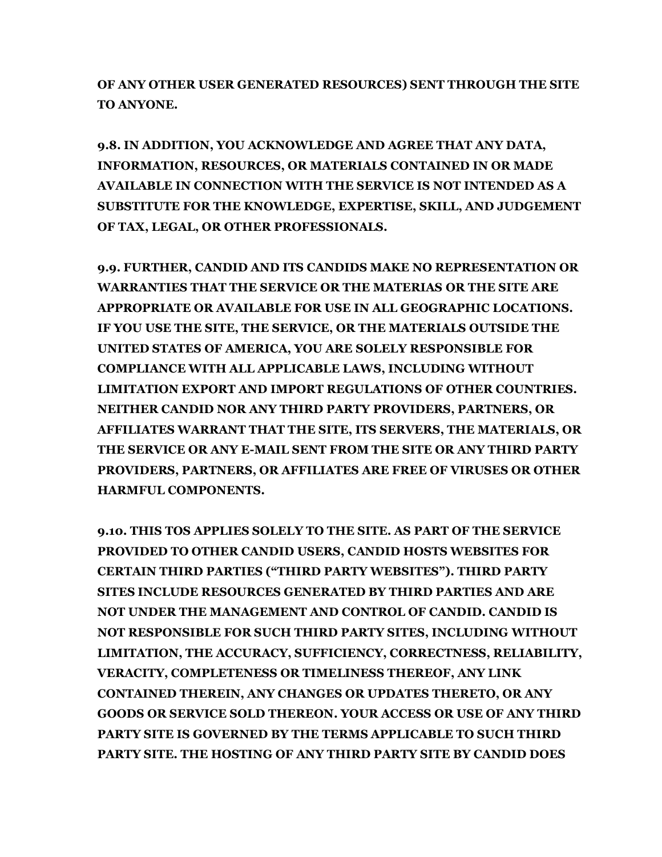**OF ANY OTHER USER GENERATED RESOURCES) SENT THROUGH THE SITE TO ANYONE.**

**9.8. IN ADDITION, YOU ACKNOWLEDGE AND AGREE THAT ANY DATA, INFORMATION, RESOURCES, OR MATERIALS CONTAINED IN OR MADE AVAILABLE IN CONNECTION WITH THE SERVICE IS NOT INTENDED AS A SUBSTITUTE FOR THE KNOWLEDGE, EXPERTISE, SKILL, AND JUDGEMENT OF TAX, LEGAL, OR OTHER PROFESSIONALS.**

**9.9. FURTHER, CANDID AND ITS CANDIDS MAKE NO REPRESENTATION OR WARRANTIES THAT THE SERVICE OR THE MATERIAS OR THE SITE ARE APPROPRIATE OR AVAILABLE FOR USE IN ALL GEOGRAPHIC LOCATIONS. IF YOU USE THE SITE, THE SERVICE, OR THE MATERIALS OUTSIDE THE UNITED STATES OF AMERICA, YOU ARE SOLELY RESPONSIBLE FOR COMPLIANCE WITH ALL APPLICABLE LAWS, INCLUDING WITHOUT LIMITATION EXPORT AND IMPORT REGULATIONS OF OTHER COUNTRIES. NEITHER CANDID NOR ANY THIRD PARTY PROVIDERS, PARTNERS, OR AFFILIATES WARRANT THAT THE SITE, ITS SERVERS, THE MATERIALS, OR THE SERVICE OR ANY E-MAIL SENT FROM THE SITE OR ANY THIRD PARTY PROVIDERS, PARTNERS, OR AFFILIATES ARE FREE OF VIRUSES OR OTHER HARMFUL COMPONENTS.**

**9.10. THIS TOS APPLIES SOLELY TO THE SITE. AS PART OF THE SERVICE PROVIDED TO OTHER CANDID USERS, CANDID HOSTS WEBSITES FOR CERTAIN THIRD PARTIES ("THIRD PARTY WEBSITES"). THIRD PARTY SITES INCLUDE RESOURCES GENERATED BY THIRD PARTIES AND ARE NOT UNDER THE MANAGEMENT AND CONTROL OF CANDID. CANDID IS NOT RESPONSIBLE FOR SUCH THIRD PARTY SITES, INCLUDING WITHOUT LIMITATION, THE ACCURACY, SUFFICIENCY, CORRECTNESS, RELIABILITY, VERACITY, COMPLETENESS OR TIMELINESS THEREOF, ANY LINK CONTAINED THEREIN, ANY CHANGES OR UPDATES THERETO, OR ANY GOODS OR SERVICE SOLD THEREON. YOUR ACCESS OR USE OF ANY THIRD PARTY SITE IS GOVERNED BY THE TERMS APPLICABLE TO SUCH THIRD PARTY SITE. THE HOSTING OF ANY THIRD PARTY SITE BY CANDID DOES**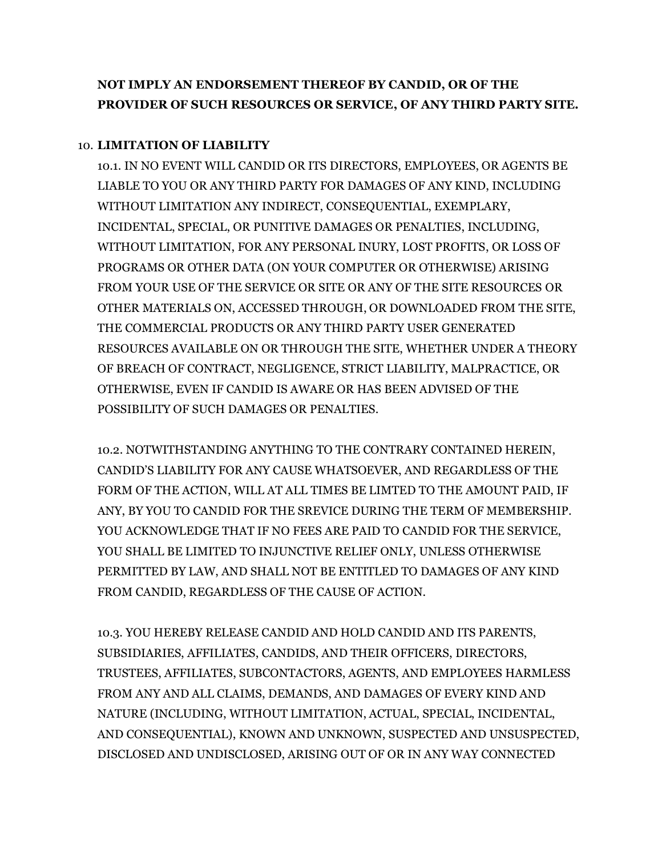# **NOT IMPLY AN ENDORSEMENT THEREOF BY CANDID, OR OF THE PROVIDER OF SUCH RESOURCES OR SERVICE, OF ANY THIRD PARTY SITE.**

## 10. **LIMITATION OF LIABILITY**

10.1. IN NO EVENT WILL CANDID OR ITS DIRECTORS, EMPLOYEES, OR AGENTS BE LIABLE TO YOU OR ANY THIRD PARTY FOR DAMAGES OF ANY KIND, INCLUDING WITHOUT LIMITATION ANY INDIRECT, CONSEQUENTIAL, EXEMPLARY, INCIDENTAL, SPECIAL, OR PUNITIVE DAMAGES OR PENALTIES, INCLUDING, WITHOUT LIMITATION, FOR ANY PERSONAL INURY, LOST PROFITS, OR LOSS OF PROGRAMS OR OTHER DATA (ON YOUR COMPUTER OR OTHERWISE) ARISING FROM YOUR USE OF THE SERVICE OR SITE OR ANY OF THE SITE RESOURCES OR OTHER MATERIALS ON, ACCESSED THROUGH, OR DOWNLOADED FROM THE SITE, THE COMMERCIAL PRODUCTS OR ANY THIRD PARTY USER GENERATED RESOURCES AVAILABLE ON OR THROUGH THE SITE, WHETHER UNDER A THEORY OF BREACH OF CONTRACT, NEGLIGENCE, STRICT LIABILITY, MALPRACTICE, OR OTHERWISE, EVEN IF CANDID IS AWARE OR HAS BEEN ADVISED OF THE POSSIBILITY OF SUCH DAMAGES OR PENALTIES.

10.2. NOTWITHSTANDING ANYTHING TO THE CONTRARY CONTAINED HEREIN, CANDID'S LIABILITY FOR ANY CAUSE WHATSOEVER, AND REGARDLESS OF THE FORM OF THE ACTION, WILL AT ALL TIMES BE LIMTED TO THE AMOUNT PAID, IF ANY, BY YOU TO CANDID FOR THE SREVICE DURING THE TERM OF MEMBERSHIP. YOU ACKNOWLEDGE THAT IF NO FEES ARE PAID TO CANDID FOR THE SERVICE, YOU SHALL BE LIMITED TO INJUNCTIVE RELIEF ONLY, UNLESS OTHERWISE PERMITTED BY LAW, AND SHALL NOT BE ENTITLED TO DAMAGES OF ANY KIND FROM CANDID, REGARDLESS OF THE CAUSE OF ACTION.

10.3. YOU HEREBY RELEASE CANDID AND HOLD CANDID AND ITS PARENTS, SUBSIDIARIES, AFFILIATES, CANDIDS, AND THEIR OFFICERS, DIRECTORS, TRUSTEES, AFFILIATES, SUBCONTACTORS, AGENTS, AND EMPLOYEES HARMLESS FROM ANY AND ALL CLAIMS, DEMANDS, AND DAMAGES OF EVERY KIND AND NATURE (INCLUDING, WITHOUT LIMITATION, ACTUAL, SPECIAL, INCIDENTAL, AND CONSEQUENTIAL), KNOWN AND UNKNOWN, SUSPECTED AND UNSUSPECTED, DISCLOSED AND UNDISCLOSED, ARISING OUT OF OR IN ANY WAY CONNECTED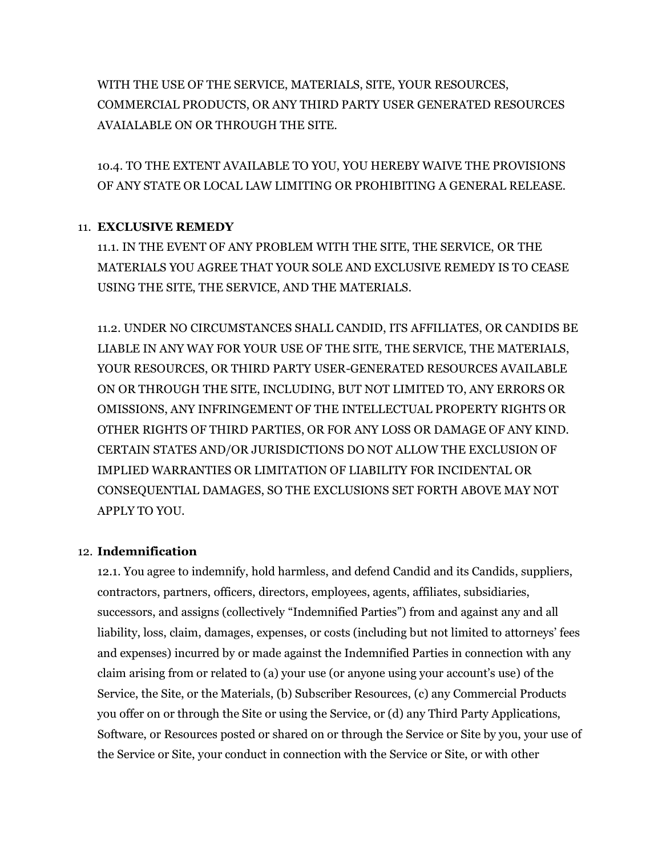WITH THE USE OF THE SERVICE, MATERIALS, SITE, YOUR RESOURCES, COMMERCIAL PRODUCTS, OR ANY THIRD PARTY USER GENERATED RESOURCES AVAIALABLE ON OR THROUGH THE SITE.

10.4. TO THE EXTENT AVAILABLE TO YOU, YOU HEREBY WAIVE THE PROVISIONS OF ANY STATE OR LOCAL LAW LIMITING OR PROHIBITING A GENERAL RELEASE.

## 11. **EXCLUSIVE REMEDY**

11.1. IN THE EVENT OF ANY PROBLEM WITH THE SITE, THE SERVICE, OR THE MATERIALS YOU AGREE THAT YOUR SOLE AND EXCLUSIVE REMEDY IS TO CEASE USING THE SITE, THE SERVICE, AND THE MATERIALS.

11.2. UNDER NO CIRCUMSTANCES SHALL CANDID, ITS AFFILIATES, OR CANDIDS BE LIABLE IN ANY WAY FOR YOUR USE OF THE SITE, THE SERVICE, THE MATERIALS, YOUR RESOURCES, OR THIRD PARTY USER-GENERATED RESOURCES AVAILABLE ON OR THROUGH THE SITE, INCLUDING, BUT NOT LIMITED TO, ANY ERRORS OR OMISSIONS, ANY INFRINGEMENT OF THE INTELLECTUAL PROPERTY RIGHTS OR OTHER RIGHTS OF THIRD PARTIES, OR FOR ANY LOSS OR DAMAGE OF ANY KIND. CERTAIN STATES AND/OR JURISDICTIONS DO NOT ALLOW THE EXCLUSION OF IMPLIED WARRANTIES OR LIMITATION OF LIABILITY FOR INCIDENTAL OR CONSEQUENTIAL DAMAGES, SO THE EXCLUSIONS SET FORTH ABOVE MAY NOT APPLY TO YOU.

## 12. **Indemnification**

12.1. You agree to indemnify, hold harmless, and defend Candid and its Candids, suppliers, contractors, partners, officers, directors, employees, agents, affiliates, subsidiaries, successors, and assigns (collectively "Indemnified Parties") from and against any and all liability, loss, claim, damages, expenses, or costs (including but not limited to attorneys' fees and expenses) incurred by or made against the Indemnified Parties in connection with any claim arising from or related to (a) your use (or anyone using your account's use) of the Service, the Site, or the Materials, (b) Subscriber Resources, (c) any Commercial Products you offer on or through the Site or using the Service, or (d) any Third Party Applications, Software, or Resources posted or shared on or through the Service or Site by you, your use of the Service or Site, your conduct in connection with the Service or Site, or with other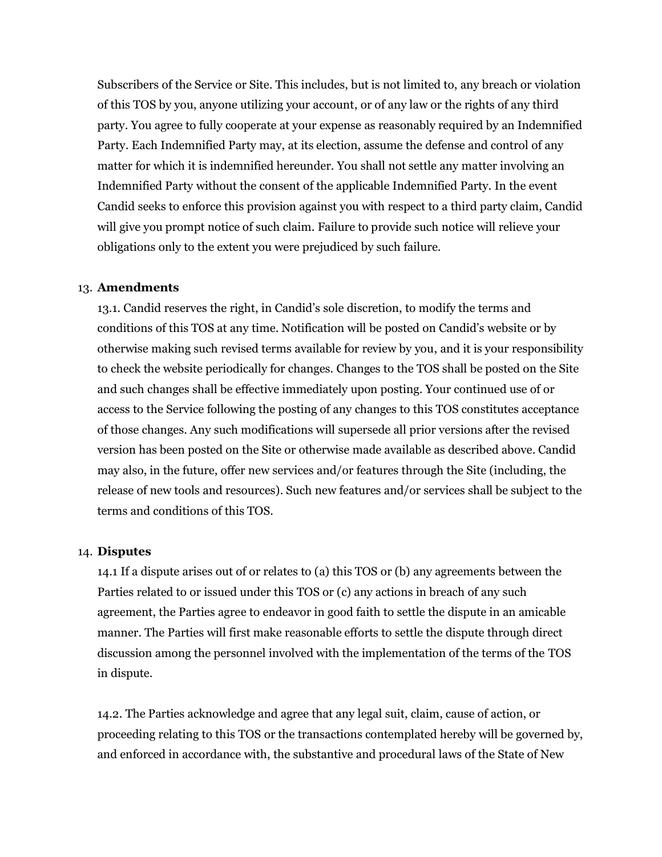Subscribers of the Service or Site. This includes, but is not limited to, any breach or violation of this TOS by you, anyone utilizing your account, or of any law or the rights of any third party. You agree to fully cooperate at your expense as reasonably required by an Indemnified Party. Each Indemnified Party may, at its election, assume the defense and control of any matter for which it is indemnified hereunder. You shall not settle any matter involving an Indemnified Party without the consent of the applicable Indemnified Party. In the event Candid seeks to enforce this provision against you with respect to a third party claim, Candid will give you prompt notice of such claim. Failure to provide such notice will relieve your obligations only to the extent you were prejudiced by such failure.

#### 13. **Amendments**

13.1. Candid reserves the right, in Candid's sole discretion, to modify the terms and conditions of this TOS at any time. Notification will be posted on Candid's website or by otherwise making such revised terms available for review by you, and it is your responsibility to check the website periodically for changes. Changes to the TOS shall be posted on the Site and such changes shall be effective immediately upon posting. Your continued use of or access to the Service following the posting of any changes to this TOS constitutes acceptance of those changes. Any such modifications will supersede all prior versions after the revised version has been posted on the Site or otherwise made available as described above. Candid may also, in the future, offer new services and/or features through the Site (including, the release of new tools and resources). Such new features and/or services shall be subject to the terms and conditions of this TOS.

#### 14. **Disputes**

14.1 If a dispute arises out of or relates to (a) this TOS or (b) any agreements between the Parties related to or issued under this TOS or (c) any actions in breach of any such agreement, the Parties agree to endeavor in good faith to settle the dispute in an amicable manner. The Parties will first make reasonable efforts to settle the dispute through direct discussion among the personnel involved with the implementation of the terms of the TOS in dispute.

14.2. The Parties acknowledge and agree that any legal suit, claim, cause of action, or proceeding relating to this TOS or the transactions contemplated hereby will be governed by, and enforced in accordance with, the substantive and procedural laws of the State of New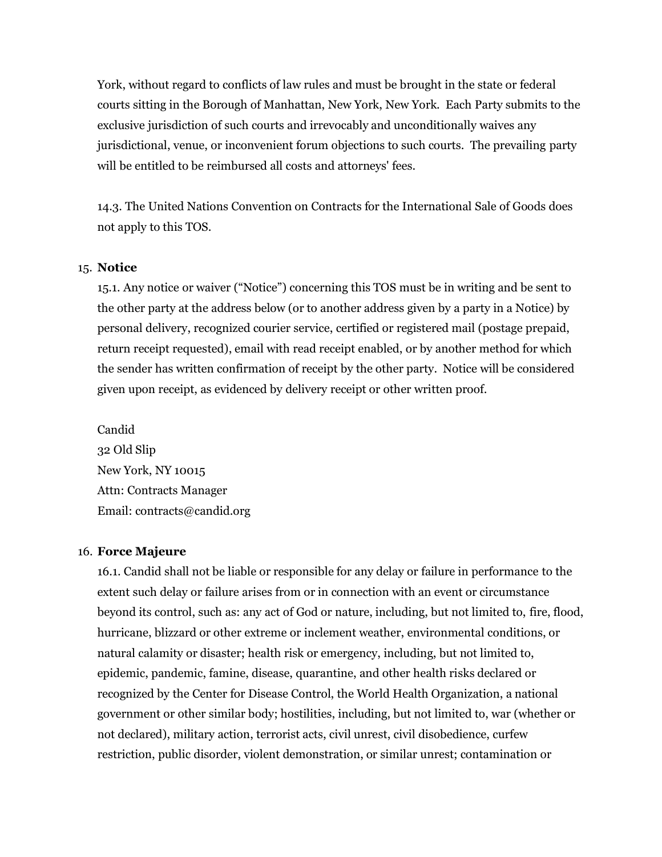York, without regard to conflicts of law rules and must be brought in the state or federal courts sitting in the Borough of Manhattan, New York, New York. Each Party submits to the exclusive jurisdiction of such courts and irrevocably and unconditionally waives any jurisdictional, venue, or inconvenient forum objections to such courts. The prevailing party will be entitled to be reimbursed all costs and attorneys' fees.

14.3. The United Nations Convention on Contracts for the International Sale of Goods does not apply to this TOS.

#### 15. **Notice**

15.1. Any notice or waiver ("Notice") concerning this TOS must be in writing and be sent to the other party at the address below (or to another address given by a party in a Notice) by personal delivery, recognized courier service, certified or registered mail (postage prepaid, return receipt requested), email with read receipt enabled, or by another method for which the sender has written confirmation of receipt by the other party. Notice will be considered given upon receipt, as evidenced by delivery receipt or other written proof.

Candid 32 Old Slip New York, NY 10015 Attn: Contracts Manager Email: contracts@candid.org

#### 16. **Force Majeure**

16.1. Candid shall not be liable or responsible for any delay or failure in performance to the extent such delay or failure arises from or in connection with an event or circumstance beyond its control, such as: any act of God or nature, including, but not limited to, fire, flood, hurricane, blizzard or other extreme or inclement weather, environmental conditions, or natural calamity or disaster; health risk or emergency, including, but not limited to, epidemic, pandemic, famine, disease, quarantine, and other health risks declared or recognized by the Center for Disease Control, the World Health Organization, a national government or other similar body; hostilities, including, but not limited to, war (whether or not declared), military action, terrorist acts, civil unrest, civil disobedience, curfew restriction, public disorder, violent demonstration, or similar unrest; contamination or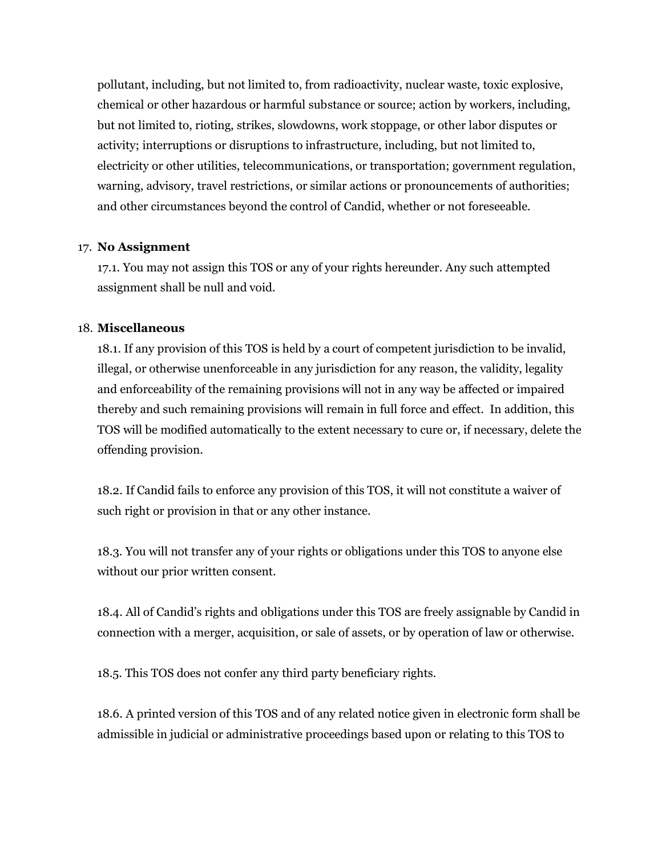pollutant, including, but not limited to, from radioactivity, nuclear waste, toxic explosive, chemical or other hazardous or harmful substance or source; action by workers, including, but not limited to, rioting, strikes, slowdowns, work stoppage, or other labor disputes or activity; interruptions or disruptions to infrastructure, including, but not limited to, electricity or other utilities, telecommunications, or transportation; government regulation, warning, advisory, travel restrictions, or similar actions or pronouncements of authorities; and other circumstances beyond the control of Candid, whether or not foreseeable.

### 17. **No Assignment**

17.1. You may not assign this TOS or any of your rights hereunder. Any such attempted assignment shall be null and void.

## 18. **Miscellaneous**

18.1. If any provision of this TOS is held by a court of competent jurisdiction to be invalid, illegal, or otherwise unenforceable in any jurisdiction for any reason, the validity, legality and enforceability of the remaining provisions will not in any way be affected or impaired thereby and such remaining provisions will remain in full force and effect. In addition, this TOS will be modified automatically to the extent necessary to cure or, if necessary, delete the offending provision.

18.2. If Candid fails to enforce any provision of this TOS, it will not constitute a waiver of such right or provision in that or any other instance.

18.3. You will not transfer any of your rights or obligations under this TOS to anyone else without our prior written consent.

18.4. All of Candid's rights and obligations under this TOS are freely assignable by Candid in connection with a merger, acquisition, or sale of assets, or by operation of law or otherwise.

18.5. This TOS does not confer any third party beneficiary rights.

18.6. A printed version of this TOS and of any related notice given in electronic form shall be admissible in judicial or administrative proceedings based upon or relating to this TOS to